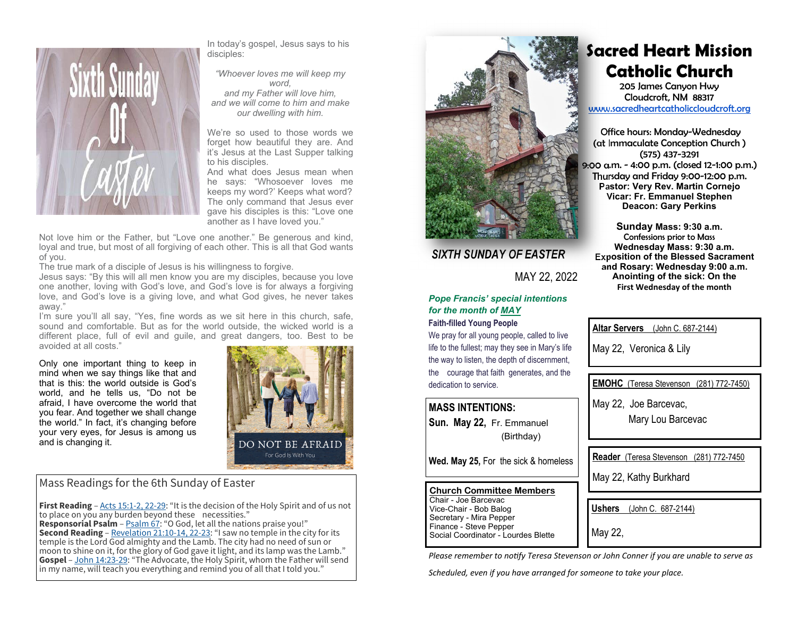

In today's gospel, Jesus says to his disciples:

*"Whoever loves me will keep my word, and my Father will love him, and we will come to him and make our dwelling with him.* 

We're so used to those words we forget how beautiful they are. And it's Jesus at the Last Supper talking to his disciples.

And what does Jesus mean when he says: "Whosoever loves me keeps my word?' Keeps what word? The only command that Jesus ever gave his disciples is this: "Love one another as I have loved you."

Not love him or the Father, but "Love one another." Be generous and kind, loyal and true, but most of all forgiving of each other. This is all that God wants of you.

The true mark of a disciple of Jesus is his willingness to forgive.

Jesus says: "By this will all men know you are my disciples, because you love one another, loving with God's love, and God's love is for always a forgiving love, and God's love is a giving love, and what God gives, he never takes away."

I'm sure you'll all say, "Yes, fine words as we sit here in this church, safe, sound and comfortable. But as for the world outside, the wicked world is a different place, full of evil and guile, and great dangers, too. Best to be avoided at all costs."

Only one important thing to keep in mind when we say things like that and that is this: the world outside is God's world, and he tells us, "Do not be afraid, I have overcome the world that you fear. And together we shall change the world." In fact, it's changing before your very eyes, for Jesus is among us and is changing it.



### Mass Readings for the 6th Sunday of Easter

**First Reading** – Acts 15:1-2, 22-29: "It is the decision of the Holy Spirit and of us not to place on you any burden beyond these necessities."

**Responsorial Psalm** – Psalm 67: "O God, let all the nations praise you!" **Second Reading** – Revelation 21:10-14, 22-23: "I saw no temple in the city for its temple is the Lord God almighty and the Lamb. The city had no need of sun or moon to shine on it, for the glory of God gave it light, and its lamp was the Lamb." **Gospel** – John 14:23-29: "The Advocate, the Holy Spirit, whom the Father will send in my name, will teach you everything and remind you of all that I told you."



# *SIXTH SUNDAY OF EASTER*

MAY 22, 2022

## *Pope Francis' special intentions for the month of MAY*

#### **Faith-filled Young People**

We pray for all young people, called to live life to the fullest; may they see in Mary's life the way to listen, the depth of discernment, the courage that faith generates, and the dedication to service.

### **MASS INTENTIONS:**

**Sun. May 22,** Fr. Emmanuel (Birthday)

**Wed. May 25,** For the sick & homeless

#### **Church Committee Members**Chair - Joe Barcevac

Vice-Chair - Bob Balog Secretary - Mira Pepper Finance - Steve Pepper Social Coordinator - Lourdes Blette **Sacred Heart Mission Catholic Church** 

205 James Canyon Hwy Cloudcroft, NM 88317 www.sacredheartcatholiccloudcroft.org

Office hours: Monday-Wednesday (at Immaculate Conception Church ) (575) 437-3291 9:00 a.m. - 4:00 p.m. (closed 12-1:00 p.m.) Thursday and Friday 9:00-12:00 p.m. **Pastor: Very Rev. Martin Cornejo Vicar: Fr. Emmanuel Stephen Deacon: Gary Perkins** 

**Sunday Mass: 9:30 a.m.**  Confessions prior to Mass **Wednesday Mass: 9:30 a.m. Exposition of the Blessed Sacrament and Rosary: Wednesday 9:00 a.m. Anointing of the sick: On the First Wednesday of the month** 

**Altar Servers** (John C. 687-2144)

May 22, Veronica & Lily

**EMOHC** (Teresa Stevenson (281) 772-7450)

May 22, Joe Barcevac,

Mary Lou Barcevac

**Reader** (Teresa Stevenson (281) 772-7450

May 22, Kathy Burkhard

**Ushers** (John C. 687-2144)

May 22,

*Please remember to notify Teresa Stevenson or John Conner if you are unable to serve as* 

*Scheduled, even if you have arranged for someone to take your place.*